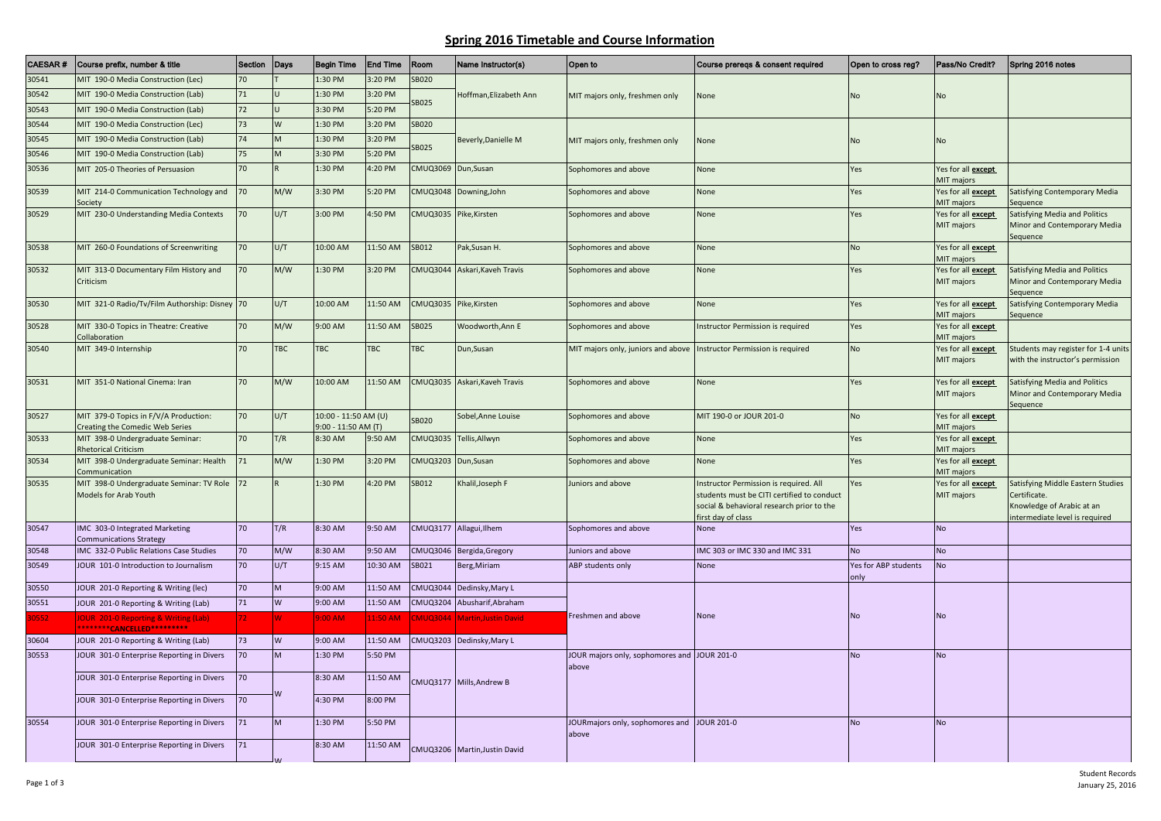## **Spring 2016 Timetable and Course Information**

| <b>CAESAR#</b> | Course prefix, number & title                                                | Section         | Days                    | <b>Begin Time</b>                             | <b>End Time</b> | Room            | Name Instructor(s)            | Open to                                                                | Course prereqs & consent required                                                                                                                       | Open to cross reg?           | Pass/No Credit?                         | Spring 2016 notes                                                                                               |
|----------------|------------------------------------------------------------------------------|-----------------|-------------------------|-----------------------------------------------|-----------------|-----------------|-------------------------------|------------------------------------------------------------------------|---------------------------------------------------------------------------------------------------------------------------------------------------------|------------------------------|-----------------------------------------|-----------------------------------------------------------------------------------------------------------------|
| 30541          | MIT 190-0 Media Construction (Lec)                                           | $\overline{20}$ |                         | 1:30 PM                                       | 3:20 PM         | <b>SB020</b>    | Hoffman, Elizabeth Ann        |                                                                        | None                                                                                                                                                    | <b>No</b>                    | No                                      |                                                                                                                 |
| 30542          | MIT 190-0 Media Construction (Lab)                                           | 71              |                         | 1:30 PM                                       | 3:20 PM         | SB025           |                               | MIT majors only, freshmen only                                         |                                                                                                                                                         |                              |                                         |                                                                                                                 |
| 30543          | MIT 190-0 Media Construction (Lab)                                           | 72              |                         | 3:30 PM                                       | 5:20 PM         |                 |                               |                                                                        |                                                                                                                                                         |                              |                                         |                                                                                                                 |
| 30544          | MIT 190-0 Media Construction (Lec)                                           | 73              | W                       | 1:30 PM                                       | 3:20 PM         | <b>SB020</b>    |                               | MIT majors only, freshmen only                                         | None                                                                                                                                                    | <b>No</b>                    |                                         |                                                                                                                 |
| 30545          | MIT 190-0 Media Construction (Lab)                                           | 74              |                         | 1:30 PM                                       | 3:20 PM         | SB025           | Beverly, Danielle M           |                                                                        |                                                                                                                                                         |                              | <b>No</b>                               |                                                                                                                 |
| 30546          | MIT 190-0 Media Construction (Lab)                                           | 75              | M                       | 3:30 PM                                       | 5:20 PM         |                 |                               |                                                                        |                                                                                                                                                         |                              |                                         |                                                                                                                 |
| 30536          | MIT 205-0 Theories of Persuasion                                             | 70              |                         | 1:30 PM                                       | 4:20 PM         | CMUQ3069        | Dun, Susan                    | Sophomores and above                                                   | None                                                                                                                                                    | Yes                          | Yes for all <b>except</b><br>MIT majors |                                                                                                                 |
| 30539          | MIT 214-0 Communication Technology and 70<br>Society                         |                 | M/W                     | 3:30 PM                                       | 5:20 PM         | CMUQ3048        | Downing, John                 | Sophomores and above                                                   | None                                                                                                                                                    | Yes                          | Yes for all except<br>MIT majors        | Satisfying Contemporary Media<br>Sequence                                                                       |
| 30529          | MIT 230-0 Understanding Media Contexts                                       | 70              | U/T                     | 3:00 PM                                       | 4:50 PM         | CMUQ3035        | Pike, Kirsten                 | Sophomores and above                                                   | None                                                                                                                                                    | Yes                          | Yes for all <b>except</b><br>MIT majors | Satisfying Media and Politics<br>Minor and Contemporary Media<br>Sequence                                       |
| 30538          | MIT 260-0 Foundations of Screenwriting                                       | 70              | U/T                     | 10:00 AM                                      | 11:50 AM        | SB012           | Pak, Susan H.                 | Sophomores and above                                                   | None                                                                                                                                                    | <b>No</b>                    | Yes for all except<br>MIT majors        |                                                                                                                 |
| 30532          | MIT 313-0 Documentary Film History and<br>Criticism                          | 70              | M/W                     | 1:30 PM                                       | 3:20 PM         |                 | CMUQ3044 Askari, Kaveh Travis | Sophomores and above                                                   | None                                                                                                                                                    | Yes                          | Yes for all <b>except</b><br>MIT majors | Satisfying Media and Politics<br>Minor and Contemporary Media<br>sequence                                       |
| 30530          | MIT 321-0 Radio/Tv/Film Authorship: Disney 70                                |                 | U/T                     | 10:00 AM                                      | 11:50 AM        |                 | CMUQ3035 Pike,Kirsten         | Sophomores and above                                                   | None                                                                                                                                                    | Yes                          | Yes for all except<br>MIT majors        | Satisfying Contemporary Media<br>Sequence                                                                       |
| 30528          | MIT 330-0 Topics in Theatre: Creative<br>Collaboration                       | 70              | M/W                     | 9:00 AM                                       | 11:50 AM        | <b>SB025</b>    | Woodworth, Ann E              | Sophomores and above                                                   | Instructor Permission is required                                                                                                                       | Yes                          | Yes for all <b>except</b><br>MIT majors |                                                                                                                 |
| 30540          | MIT 349-0 Internship                                                         | 70              | <b>TBC</b>              | <b>TBC</b>                                    | <b>TBC</b>      | <b>TBC</b>      | Dun, Susan                    | MIT majors only, juniors and above   Instructor Permission is required |                                                                                                                                                         | <b>No</b>                    | Yes for all except<br>MIT majors        | Students may register for 1-4 units<br>with the instructor's permission                                         |
| 30531          | MIT 351-0 National Cinema: Iran                                              | 70              | M/W                     | 10:00 AM                                      | 11:50 AM        | CMUQ3035        | Askari, Kaveh Travis          | Sophomores and above                                                   | None                                                                                                                                                    | Yes                          | Yes for all <b>except</b><br>MIT majors | Satisfying Media and Politics<br>Minor and Contemporary Media<br>Sequence                                       |
| 30527          | MIT 379-0 Topics in F/V/A Production:<br>Creating the Comedic Web Series     | 70              | U/T                     | 10:00 - 11:50 AM (U)<br>$9:00 - 11:50$ AM (T) |                 | <b>SB020</b>    | Sobel, Anne Louise            | Sophomores and above                                                   | MIT 190-0 or JOUR 201-0                                                                                                                                 | <b>No</b>                    | Yes for all <b>except</b><br>MIT majors |                                                                                                                 |
| 30533          | MIT 398-0 Undergraduate Seminar:<br><b>Rhetorical Criticism</b>              | 70              | T/R                     | 8:30 AM                                       | 9:50 AM         | CMUQ3035        | Tellis, Allwyn                | Sophomores and above                                                   | None                                                                                                                                                    | Yes                          | Yes for all <b>except</b><br>MIT majors |                                                                                                                 |
| 30534          | MIT 398-0 Undergraduate Seminar: Health<br>Communication                     | 71              | M/W                     | 1:30 PM                                       | 3:20 PM         | <b>CMUQ3203</b> | Dun, Susan                    | Sophomores and above                                                   | None                                                                                                                                                    | Yes                          | Yes for all <b>except</b><br>MIT majors |                                                                                                                 |
| 30535          | MIT 398-0 Undergraduate Seminar: TV Role<br><b>Models for Arab Youth</b>     | 72              |                         | 1:30 PM                                       | 4:20 PM         | SB012           | Khalil, Joseph F              | Juniors and above                                                      | Instructor Permission is required. All<br>students must be CITI certified to conduct<br>social & behavioral research prior to the<br>first day of class | Yes                          | Yes for all <b>except</b><br>MIT majors | Satisfying Middle Eastern Studies<br>Certificate.<br>Knowledge of Arabic at an<br>ntermediate level is required |
| 30547          | IMC 303-0 Integrated Marketing<br><b>Communications Strategy</b>             | 70              | T/R                     | 8:30 AM                                       | 9:50 AM         |                 | CMUQ3177 Allagui, Ilhem       | Sophomores and above                                                   | None                                                                                                                                                    | Yes                          | <b>No</b>                               |                                                                                                                 |
| 30548          | IMC 332-0 Public Relations Case Studies                                      | 70              | M/W                     | 8:30 AM                                       | 9:50 AM         |                 | CMUQ3046 Bergida, Gregory     | Juniors and above                                                      | IMC 303 or IMC 330 and IMC 331                                                                                                                          | <b>No</b>                    | <b>No</b>                               |                                                                                                                 |
| 30549          | JOUR 101-0 Introduction to Journalism                                        | 70              | U/T                     | 9:15 AM                                       | 10:30 AM        | SB021           | Berg, Miriam                  | <b>ABP students only</b>                                               | None                                                                                                                                                    | Yes for ABP students<br>only | <b>No</b>                               |                                                                                                                 |
| 30550          | JOUR 201-0 Reporting & Writing (lec)                                         | 70              | M                       | 9:00 AM                                       | 11:50 AM        | MUQ3044         | Dedinsky, Mary L              |                                                                        |                                                                                                                                                         |                              |                                         |                                                                                                                 |
| 30551          | JOUR 201-0 Reporting & Writing (Lab)                                         | 71              | W                       | 9:00 AM                                       | 11:50 AM        | CMUQ3204        | Abusharif, Abraham            |                                                                        |                                                                                                                                                         |                              |                                         |                                                                                                                 |
| 30552          | <b>OUR 201-0 Reporting &amp; Writing (Lab)</b><br>********CANCELLED********* | 72              |                         | $9:00 \text{ AM}$                             | 11:50 AM        | <b>MUQ3044</b>  | <b>Martin, Justin David</b>   | Freshmen and above                                                     | None                                                                                                                                                    | No                           | <b>No</b>                               |                                                                                                                 |
| 30604          | JOUR 201-0 Reporting & Writing (Lab)                                         | 73              | W                       | 9:00 AM                                       | 11:50 AM        |                 | CMUQ3203 Dedinsky, Mary L     |                                                                        |                                                                                                                                                         |                              |                                         |                                                                                                                 |
| 30553          | JOUR 301-0 Enterprise Reporting in Divers                                    | 70              | M                       | 1:30 PM                                       | 5:50 PM         |                 | CMUQ3177 Mills, Andrew B      | JOUR majors only, sophomores and JOUR 201-0<br>above                   |                                                                                                                                                         | <b>No</b>                    | <b>No</b>                               |                                                                                                                 |
|                | JOUR 301-0 Enterprise Reporting in Divers                                    | 70              |                         | 8:30 AM                                       | 11:50 AM        |                 |                               |                                                                        |                                                                                                                                                         |                              |                                         |                                                                                                                 |
|                | JOUR 301-0 Enterprise Reporting in Divers                                    | 70              | $\overline{\mathsf{M}}$ | 4:30 PM                                       | 8:00 PM         |                 |                               |                                                                        |                                                                                                                                                         |                              |                                         |                                                                                                                 |
| 30554          | JOUR 301-0 Enterprise Reporting in Divers                                    | 71              | M                       | 1:30 PM                                       | 5:50 PM         |                 |                               | JOURmajors only, sophomores and JOUR 201-0<br>above                    |                                                                                                                                                         | <b>No</b>                    | <b>No</b>                               |                                                                                                                 |
|                | JOUR 301-0 Enterprise Reporting in Divers                                    | 71              |                         | 8:30 AM                                       | 11:50 AM        |                 | CMUQ3206 Martin, Justin David |                                                                        |                                                                                                                                                         |                              |                                         |                                                                                                                 |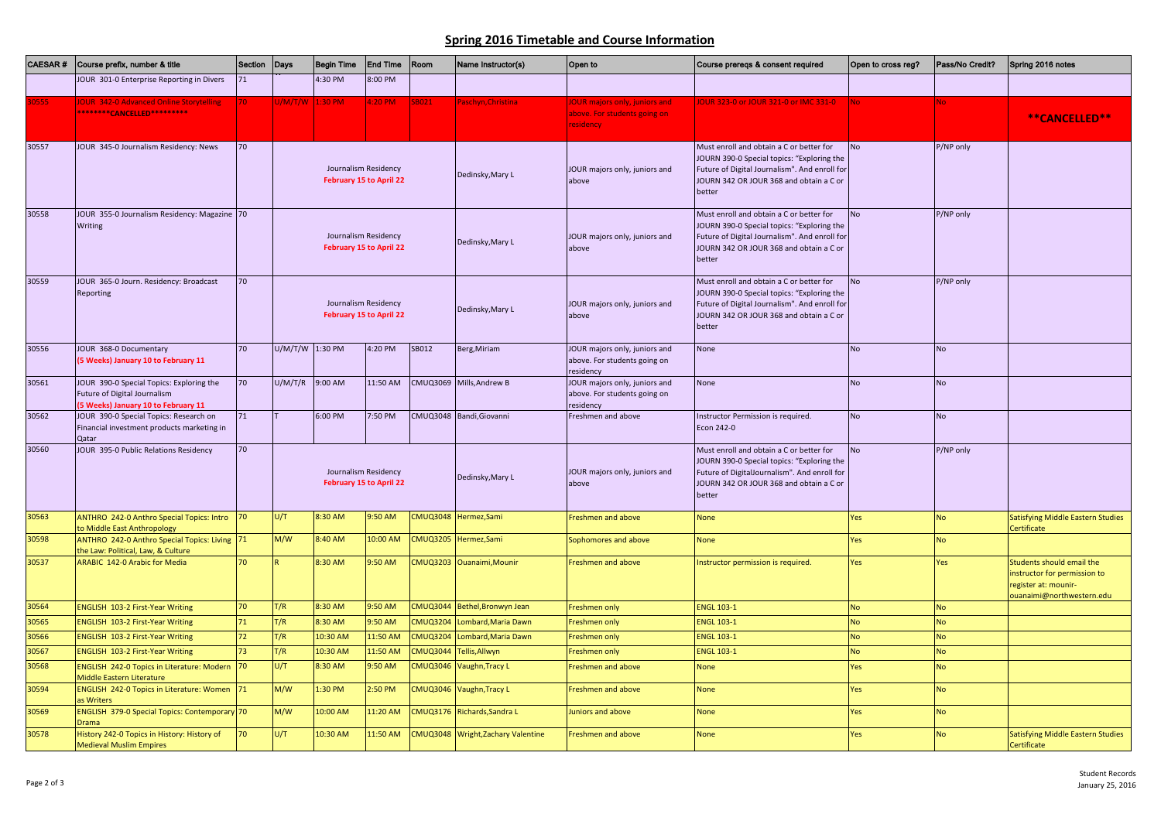## **Spring 2016 Timetable and Course Information**

| <b>CAESAR#</b> | Course prefix, number & title                                                                                         | Section Days |                                                 | <b>Begin Time</b> | <b>End Time</b>                                 | Room            | Name Instructor(s)                 | Open to                                                                                  | Course prereqs & consent required                                                                                                                                                            | Open to cross reg? | Pass/No Credit? | Spring 2016 notes                                                                                              |
|----------------|-----------------------------------------------------------------------------------------------------------------------|--------------|-------------------------------------------------|-------------------|-------------------------------------------------|-----------------|------------------------------------|------------------------------------------------------------------------------------------|----------------------------------------------------------------------------------------------------------------------------------------------------------------------------------------------|--------------------|-----------------|----------------------------------------------------------------------------------------------------------------|
|                | JOUR 301-0 Enterprise Reporting in Divers                                                                             | 71           |                                                 | 4:30 PM           | 3:00 PM                                         |                 |                                    |                                                                                          |                                                                                                                                                                                              |                    |                 |                                                                                                                |
| 30555          | <b>OUR 342-0 Advanced Online Storytelling</b><br>*******CANCELLED*********                                            |              | J/M/T/W 1:30 PM                                 |                   | 4:20 P M                                        | SB021           | aschyn, Christina                  | <b>JOUR majors only, juniors and</b><br>above. For students going on<br><b>residency</b> | OUR 323-0 or JOUR 321-0 or IMC 331-0                                                                                                                                                         | No.                |                 | **CANCELLED**                                                                                                  |
| 30557          | JOUR 345-0 Journalism Residency: News                                                                                 | 70           |                                                 |                   | Journalism Residency<br>February 15 to April 22 |                 | Dedinsky, Mary L                   | JOUR majors only, juniors and<br>above                                                   | Must enroll and obtain a C or better for<br>JOURN 390-0 Special topics: "Exploring the<br>Future of Digital Journalism". And enroll for<br>JOURN 342 OR JOUR 368 and obtain a C or<br>better | <b>No</b>          | P/NP only       |                                                                                                                |
| 30558          | JOUR 355-0 Journalism Residency: Magazine 70<br><b>Writing</b>                                                        |              | Journalism Residency<br>February 15 to April 22 |                   |                                                 |                 | Dedinsky, Mary L                   | JOUR majors only, juniors and<br>above                                                   | Must enroll and obtain a C or better for<br>JOURN 390-0 Special topics: "Exploring the<br>Future of Digital Journalism". And enroll for<br>JOURN 342 OR JOUR 368 and obtain a C or<br>better | <b>No</b>          | P/NP only       |                                                                                                                |
| 30559          | JOUR 365-0 Journ. Residency: Broadcast<br>Reporting                                                                   | 70           |                                                 |                   | Journalism Residency<br>February 15 to April 22 |                 | Dedinsky, Mary L                   | JOUR majors only, juniors and<br>above                                                   | Must enroll and obtain a C or better for<br>JOURN 390-0 Special topics: "Exploring the<br>Future of Digital Journalism". And enroll for<br>JOURN 342 OR JOUR 368 and obtain a C or<br>better | <b>No</b>          | P/NP only       |                                                                                                                |
| 30556          | JOUR 368-0 Documentary<br>(5 Weeks) January 10 to February 11                                                         | 70           | U/M/T/W                                         | 1:30 PM           | 4:20 PM                                         | SB012           | Berg, Miriam                       | JOUR majors only, juniors and<br>above. For students going on<br>residency               | None                                                                                                                                                                                         | <b>No</b>          | No              |                                                                                                                |
| 30561          | JOUR 390-0 Special Topics: Exploring the<br>Future of Digital Journalism<br><b>5 Weeks) January 10 to February 11</b> | 70           | U/M/T/R                                         | 9:00 AM           | 11:50 AM                                        |                 | CMUQ3069 Mills, Andrew B           | JOUR majors only, juniors and<br>above. For students going on<br>residency               | None                                                                                                                                                                                         | <b>No</b>          | No              |                                                                                                                |
| 30562          | JOUR 390-0 Special Topics: Research on<br>Financial investment products marketing in<br>Qatar                         | 71           |                                                 | 6:00 PM           | 7:50 PM                                         |                 | CMUQ3048 Bandi, Giovanni           | Freshmen and above                                                                       | Instructor Permission is required.<br>Econ 242-0                                                                                                                                             | <b>No</b>          | No              |                                                                                                                |
| 30560          | JOUR 395-0 Public Relations Residency                                                                                 | 70           |                                                 |                   | Journalism Residency<br>February 15 to April 22 |                 | Dedinsky, Mary L                   | JOUR majors only, juniors and<br>above                                                   | Must enroll and obtain a C or better for<br>JOURN 390-0 Special topics: "Exploring the<br>Future of DigitalJournalism". And enroll for<br>JOURN 342 OR JOUR 368 and obtain a C or<br>better  | <b>No</b>          | P/NP only       |                                                                                                                |
| 30563          | ANTHRO 242-0 Anthro Special Topics: Intro 70<br>to Middle East Anthropology                                           |              | U/T                                             | 8:30 AM           | 9:50 AM                                         |                 | CMUQ3048 Hermez,Sami               | Freshmen and above                                                                       | <b>None</b>                                                                                                                                                                                  | Yes                | No              | <b>Satisfying Middle Eastern Studies</b><br>Certificate                                                        |
| 30598          | ANTHRO 242-0 Anthro Special Topics: Living 71                                                                         |              | M/W                                             | 8:40 AM           | 10:00 AM                                        |                 | CMUQ3205 Hermez,Sami               | Sophomores and above                                                                     | <b>None</b>                                                                                                                                                                                  | Yes                | No              |                                                                                                                |
| 30537          | he Law: Political, Law, & Culture<br><b>ARABIC 142-0 Arabic for Media</b>                                             | 70           |                                                 | 8:30 AM           | 9:50 AM                                         |                 | CMUQ3203 Ouanaimi, Mounir          | Freshmen and above                                                                       | nstructor permission is required.                                                                                                                                                            | Yes                | Yes             | Students should email the<br>instructor for permission to<br>register at: mounir-<br>ouanaimi@northwestern.edu |
| 30564          | <b>ENGLISH 103-2 First-Year Writing</b>                                                                               | 70           | T/R                                             | 8:30 AM           | 9:50 AM                                         | <b>CMUQ3044</b> | Bethel, Bronwyn Jean               | Freshmen only                                                                            | <b>ENGL 103-1</b>                                                                                                                                                                            | <b>No</b>          | No              |                                                                                                                |
| 30565          | <b>ENGLISH 103-2 First-Year Writing</b>                                                                               | 71           | T/R                                             | 8:30 AM           | $9:50$ AM                                       | <b>CMUQ3204</b> | Lombard, Maria Dawn                | Freshmen only                                                                            | <b>ENGL 103-1</b>                                                                                                                                                                            | No                 | No              |                                                                                                                |
| 30566          | <b>ENGLISH 103-2 First-Year Writing</b>                                                                               | 72           | T/R                                             | 10:30 AM          | 11:50 AM                                        | <b>CMUQ3204</b> | Lombard, Maria Dawn                | Freshmen only                                                                            | <b>ENGL 103-1</b>                                                                                                                                                                            | <b>No</b>          | No              |                                                                                                                |
| 30567          | <b>ENGLISH 103-2 First-Year Writing</b>                                                                               | 73           | T/R                                             | 10:30 AM          | 11:50 AM                                        | <b>CMUQ3044</b> | Fellis, Allwyn                     | Freshmen only                                                                            | <b>ENGL 103-1</b>                                                                                                                                                                            | No                 | No              |                                                                                                                |
| 30568          | <b>ENGLISH 242-0 Topics in Literature: Modern</b><br>Middle Eastern Literature                                        | 70           | U/T                                             | 8:30 AM           | 9:50 AM                                         | <b>CMUQ3046</b> | Vaughn, Tracy L                    | Freshmen and above                                                                       | None                                                                                                                                                                                         | Yes                | No              |                                                                                                                |
| 30594          | ENGLISH 242-0 Topics in Literature: Women 71<br>as Writers                                                            |              | M/W                                             | 1:30 PM           | 2:50 P M                                        |                 | CMUQ3046 Vaughn, Tracy L           | Freshmen and above                                                                       | <b>None</b>                                                                                                                                                                                  | Yes                | No              |                                                                                                                |
| 30569          | ENGLISH 379-0 Special Topics: Contemporary 70<br><b>Orama</b>                                                         |              | M/W                                             | 10:00 AM          | 11:20 AM                                        |                 | CMUQ3176 Richards, Sandra L        | Juniors and above                                                                        | <b>None</b>                                                                                                                                                                                  | Yes                | No              |                                                                                                                |
| 30578          | History 242-0 Topics in History: History of<br><b>Medieval Muslim Empires</b>                                         | 70           | U/T                                             | 10:30 AM          | 11:50 AM                                        |                 | CMUQ3048 Wright, Zachary Valentine | Freshmen and above                                                                       | <b>None</b>                                                                                                                                                                                  | Yes                | No              | Satisfying Middle Eastern Studies<br>Certificate                                                               |